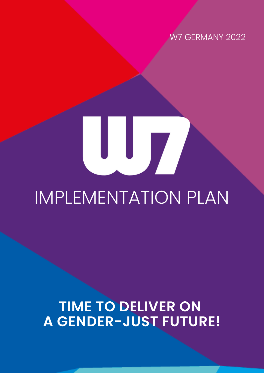W7 GERMANY 2022

# IMPLEMENTATION PLAN

**TIME TO DELIVER ON A GENDER-JUST FUTURE!**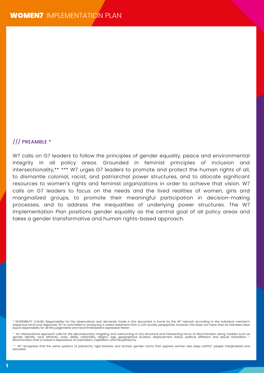#### /// PREAMBLE \*

W7 calls on G7 leaders to follow the principles of gender equality, peace and environmental integrity in all policy areas. Grounded in feminist principles of inclusion and intersectionality,\*\* \*\*\* W7 urges G7 leaders to promote and protect the human rights of all, to dismantle colonial, racist, and patriarchal power structures, and to allocate significant resources to women's rights and feminist organizations in order to achieve that vision. W7 calls on G7 leaders to focus on the needs and the lived realities of women, girls and marginalized groups, to promote their meaningful participation in decision-making processes, and to address the inequalities of underlying power structures. The W7 Implementation Plan positions gender equality as the central goal of all policy areas and takes a gender transformative and human rights-based approach.

\* SEVERABILITY CLAUSE: Responsibility for the observations and demands made in this document is borne by the W7 network according to the individual member's<br>respective remit and objectives. W7 is committed to producing a u

\*\* An intersectional approach calls for the deconstruction, targeting and overcoming of any structural and intersecting forms of discrimination along markers such as<br>gender identity, race, ethnicity, class, ability, nation

\*\*\* W7 recognizes that the same systems of patriarchy, rigid binaries, and archaic gender norms that oppress women also keep LGBTIQ\* people marginalized and excluded.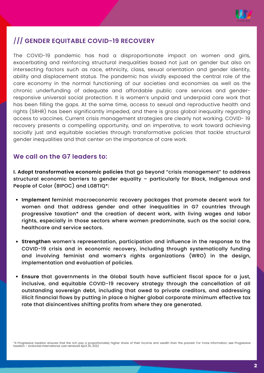

#### /**// GENDER EQUITABLE COVID-19 RECOVERY**

The COVID-19 pandemic has had a disproportionate impact on women and girls, exacerbating and reinforcing structural inequalities based not just on gender but also on intersecting factors such as race, ethnicity, class, sexual orientation and gender identity, ability and displacement status. The pandemic has vividly exposed the central role of the care economy in the normal functioning of our societies and economies as well as the chronic underfunding of adequate and affordable public care services and genderresponsive universal social protection. It is women's unpaid and underpaid care work that has been filling the gaps. At the same time, access to sexual and reproductive health and rights (SRHR) has been significantly impeded, and there is gross global inequality regarding access to vaccines. Current crisis management strategies are clearly not working. COVID- 19 recovery presents a compelling opportunity, and an imperative, to work toward achieving socially just and equitable societies through transformative policies that tackle structural gender inequalities and that center on the importance of care work.

#### **We call on the G7 leaders to:**

**I. Adopt transformative economic policies** that go beyond "crisis management" to address structural economic barriers to gender equality – particularly for Black, Indigenous and People of Color (BIPOC) and LGBTIQ\*:

- **Implement** feminist macroeconomic recovery packages that promote decent work for women and that address gender and other inequalities in G7 countries through progressive taxation\* and the creation of decent work, with living wages and labor rights, especially in those sectors where women predominate, such as the social care, healthcare and service sectors.
- **Strengthen** women's representation, participation and influence in the response to the COVID-19 crisis and in economic recovery, including through systematically funding and involving feminist and women's rights organizations (WRO) in the design, implementation and evaluation of policies.
- **Ensure** that governments in the Global South have sufficient fiscal space for a just,  $\bullet$ inclusive, and equitable COVID-19 recovery strategy through the cancellation of all outstanding sovereign debt, including that owed to private creditors, and addressing illicit financial flows by putting in place a higher global corporate minimum effective tax rate that disincentives shifting profits from where they are generated.

\*4 Progressive taxation ensures that the rich pay a proportionately higher share of their income and wealth than the poorest. For more information, see Progressive<br>taxation – ActionAid International. Last retrieved April 2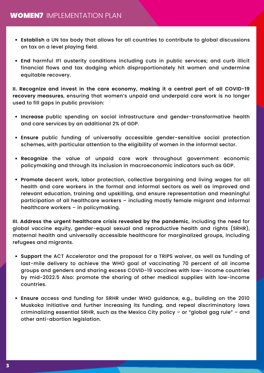- **Establish** a UN tax body that allows for all countries to contribute to global discussions on tax on a level playing field.
- **End** harmful IFI austerity conditions including cuts in public services; and curb illicit financial flows and tax dodging which disproportionately hit women and undermine equitable recovery.

**II. Recognize and invest in the care economy, making it a central part of all COVID-19 recovery measures**, ensuring that women's unpaid and underpaid care work is no longer used to fill gaps in public provision:

- **Increase** public spending on social infrastructure and gender-transformative health and care services by an additional 2% of GDP.
- **Ensure** public funding of universally accessible gender-sensitive social protection schemes, with particular attention to the eligibility of women in the informal sector.
- **Recognize** the value of unpaid care work throughout government economic policymaking and through its inclusion in macroeconomic indicators such as GDP.
- **Promote** decent work, labor protection, collective bargaining and living wages for all health and care workers in the formal and informal sectors as well as improved and relevant education, training and upskilling, and ensure representation and meaningful participation of all healthcare workers – including mostly female migrant and informal healthcare workers – in policymaking.

**III. Address the urgent healthcare crisis revealed by the pandemic**, including the need for global vaccine equity, gender-equal sexual and reproductive health and rights (SRHR), maternal health and universally accessible healthcare for marginalized groups, including refugees and migrants.

- **Support** the ACT Accelerator and the proposal for a TRIPS waiver, as well as funding of last-mile delivery to achieve the WHO goal of vaccinating 70 percent of all income groups and genders and sharing excess COVID-19 vaccines with low- income countries by mid-2022.5 Also: promote the sharing of other medical supplies with low-income countries.
- **Ensure** access and funding for SRHR under WHO guidance, e.g., building on the 2010 Muskoka Initiative and further increasing its funding, and repeal discriminatory laws criminalizing essential SRHR, such as the Mexico City policy – or "global gag rule" – and other anti-abortion legislation.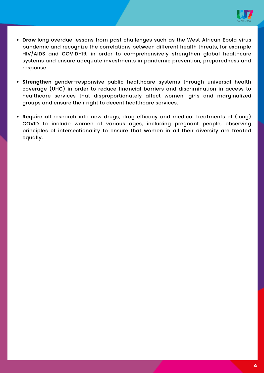

- **Draw** long overdue lessons from past challenges such as the West African Ebola virus pandemic and recognize the correlations between different health threats, for example HIV/AIDS and COVID-19, in order to comprehensively strengthen global healthcare systems and ensure adequate investments in pandemic prevention, preparedness and response.
- **Strengthen** gender-responsive public healthcare systems through universal health coverage (UHC) in order to reduce financial barriers and discrimination in access to healthcare services that disproportionately affect women, girls and marginalized groups and ensure their right to decent healthcare services.
- **Require** all research into new drugs, drug efficacy and medical treatments of (long) COVID to include women of various ages, including pregnant people, observing principles of intersectionality to ensure that women in all their diversity are treated equally.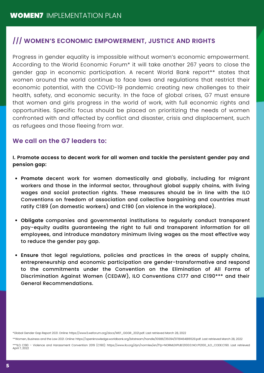#### **/// WOMEN'S ECONOMIC EMPOWERMENT, JUSTICE AND RIGHTS**

Progress in gender equality is impossible without women's economic empowerment. According to the World Economic Forum\* it will take another 267 years to close the gender gap in economic participation. A recent World Bank report\*\* states that women around the world continue to face laws and regulations that restrict their economic potential, with the COVID-19 pandemic creating new challenges to their health, safety, and economic security. In the face of global crises, G7 must ensure that women and girls progress in the world of work, with full economic rights and opportunities. Specific focus should be placed on prioritizing the needs of women confronted with and affected by conflict and disaster, crisis and displacement, such as refugees and those fleeing from war.

#### **We call on the G7 leaders to:**

**I. Promote access to decent work for all women and tackle the persistent gender pay and pension gap:**

- **Promote** decent work for women domestically and globally, including for migrant workers and those in the informal sector, throughout global supply chains, with living wages and social protection rights. These measures should be in line with the ILO Conventions on freedom of association and collective bargaining and countries must ratify C189 (on domestic workers) and C190 (on violence in the workplace).
- **Obligate** companies and governmental institutions to regularly conduct transparent pay-equity audits guaranteeing the right to full and transparent information for all employees, and introduce mandatory minimum living wages as the most effective way to reduce the gender pay gap.
- **Ensure** that legal regulations, policies and practices in the areas of supply chains, entrepreneurship and economic participation are gender-transformative and respond to the commitments under the Convention on the Elimination of All Forms of Discrimination Against Women (CEDAW), ILO Conventions C177 and C190\*\*\* and their General Recommendations.

\*Global Gender Gap Report 2021. Online: https://www3.weforum.org/docs/WEF\_GGGR\_2021.pdf. Last retrieved March 28, 2022

\*\*Women, Business and the Law 2021. Online: https://openknowledge.worldbank.org/bitstream/handle/10986/35094/9781464816529.pdf. Last retrieved March 28, 2022

\*\*\*ILO C190 – Violence and Harassment Convention 2019 (C190): https://www.ilo.org/dyn/normlex/en/f?p=NORMLEXPUB:12100:0::NO::P12100\_ILO\_CODE:C190. Last retrieved April 7, 2022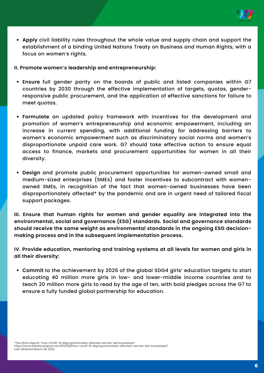

**Apply** civil liability rules throughout the whole value and supply chain and support the establishment of a binding United Nations Treaty on Business and Human Rights, with a focus on women's rights.

#### **II. Promote women's leadership and entrepreneurship:**

- **Ensure** full gender parity on the boards of public and listed companies within G7 countries by 2030 through the effective implementation of targets, quotas, genderresponsive public procurement, and the application of effective sanctions for failure to meet quotas.
- **Formulate** an updated policy framework with incentives for the development and promotion of women's entrepreneurship and economic empowerment, including an increase in current spending, with additional funding for addressing barriers to women's economic empowerment such as discriminatory social norms and women's disproportionate unpaid care work. G7 should take effective action to ensure equal access to finance, markets and procurement opportunities for women in all their diversity.
- **Design** and promote public procurement opportunities for women-owned small and medium-sized enterprises (SMEs) and foster incentives to subcontract with womenowned SMEs, in recognition of the fact that women-owned businesses have been disproportionately affected\* by the pandemic and are in urgent need of tailored fiscal support packages.

**III. Ensure that human rights for women and gender equality are integrated into the environmental, social and governance (ESG) standards. Social and governance standards should receive the same weight as environmental standards in the ongoing ESG decisionmaking process and in the subsequent implementation process.**

**IV. Provide education, mentoring and training systems at all levels for women and girls in all their diversity:**

**Commit** to the achievement by 2026 of the global SDG4 girls' education targets to start educating 40 million more girls in low- and lower-middle income countries and to teach 20 million more girls to read by the age of ten, with bold pledges across the G7 to ensure a fully funded global partnership for education.

\*The Africa Report: "How COVID-19 disproportionately affected women-led businesses": https://www.theafricareport.com/102008/how-covid-19-disproportionately-affected-women-led-businesses/ Last retrieved March 28, 2022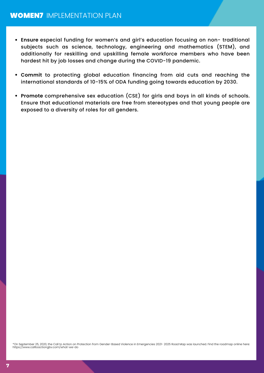- **Ensure** especial funding for women's and girl's education focusing on non- traditional subjects such as science, technology, engineering and mathematics (STEM), and additionally for reskilling and upskilling female workforce members who have been hardest hit by job losses and change during the COVID-19 pandemic.
- **Commit** to protecting global education financing from aid cuts and reaching the international standards of 10-15% of ODA funding going towards education by 2030.
- **Promote** comprehensive sex education (CSE) for girls and boys in all kinds of schools. Ensure that educational materials are free from stereotypes and that young people are exposed to a diversity of roles for all genders.

\*On September 25, 2020, the Call to Action on Protection from Gender-Based Violence in Emergencies 2021- 2025 Road Map was launched. Find the roadmap online here: https://www.calltoactiongbv.com/what-we-do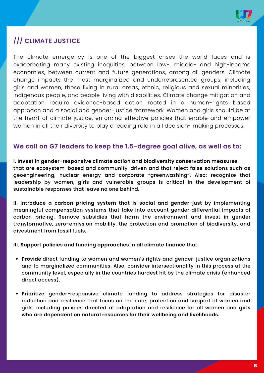

#### **/// CLIMATE JUSTICE**

The climate emergency is one of the biggest crises the world faces and is exacerbating many existing inequities: between low-, middle- and high-income economies, between current and future generations, among all genders. Climate change impacts the most marginalized and underrepresented groups, including girls and women, those living in rural areas, ethnic, religious and sexual minorities, indigenous people, and people living with disabilities. Climate change mitigation and adaptation require evidence-based action rooted in a human-rights based approach and a social and gender-justice framework. Women and girls should be at the heart of climate justice, enforcing effective policies that enable and empower women in all their diversity to play a leading role in all decision- making processes.

#### **We call on G7 leaders to keep the 1.5-degree goal alive, as well as to:**

**I. Invest in gender-responsive climate action and biodiversity conservation measures** that are ecosystem-based and community-driven and that reject false solutions such as geoengineering, nuclear energy and corporate "greenwashing". Also: recognize that leadership by women, girls and vulnerable groups is critical in the development of sustainable responses that leave no one behind.

**II. Introduce a carbon pricing system that is social and gender-just** by implementing meaningful compensation systems that take into account gender differential impacts of carbon pricing. Remove subsidies that harm the environment and invest in gender transformative, zero-emission mobility, the protection and promotion of biodiversity, and divestment from fossil fuels.

#### **III. Support policies and funding approaches in all climate finance** that:

- **Provide** direct funding to women and women's rights and gender-justice organizations and to marginalized communities. Also: consider intersectionality in this process at the community level, especially in the countries hardest hit by the climate crisis (enhanced direct access).
- **Prioritize** gender-responsive climate funding to address strategies for disaster reduction and resilience that focus on the care, protection and support of women and girls, including policies directed at adaptation and resilience for all women a**nd girls who are dependent on natural resources for their wellbeing and livelihoods.**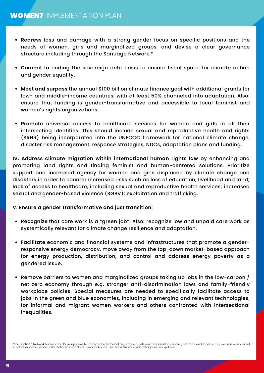- **Redress** loss and damage with a strong gender focus on specific positions and the needs of women, girls and marginalized groups, and devise a clear governance structure including through the Santiago Network.\*
- **Commit** to ending the sovereign debt crisis to ensure fiscal space for climate action and gender equality.
- **Meet and surpass** the annual \$100 billion climate finance goal with additional grants for low- and middle-income countries, with at least 50% channeled into adaptation. Also: ensure that funding is gender-transformative and accessible to local feminist and women's rights organizations.
- **Promote** universal access to healthcare services for women and girls in all their intersecting identities. This should include sexual and reproductive health and rights (SRHR) being incorporated into the UNFCCC framework for national climate change, disaster risk management, response strategies, NDCs, adaptation plans and funding.

**IV. Address climate migration within international human rights law** by enhancing and promoting land rights and finding feminist and human-centered solutions. Prioritize support and increased agency for women and girls displaced by climate change and disasters in order to counter increased risks such as loss of education, livelihood and land; lack of access to healthcare, including sexual and reproductive health services; increased sexual and gender-based violence (SGBV); exploitation and trafficking.

#### **V. Ensure a gender transformative and just transition:**

- **Recognize** that care work is a "green job". Also: recognize low and unpaid care work as systemically relevant for climate change resilience and adaptation.
- **Facilitate** economic and financial systems and infrastructures that promote a genderresponsive energy democracy, move away from the top-down market-based approach for energy production, distribution, and control and address energy poverty as a gendered issue.
- **Remove** barriers to women and marginalized groups taking up jobs in the low-carbon / net zero economy through e.g. stronger anti-discrimination laws and family-friendly workplace policies. Special measures are needed to specifically facilitate access to jobs in the green and blue economies, including in emerging and relevant technologies, for informal and migrant women workers and others confronted with intersectional inequalities.

\*The Santiago Network for Loss and Damage aims to catalyze the technical assistance of relevant organizations, bodies, networks and experts. This, we believe, is crucial in addressing the gender-differentiated impacts of climate change. See: https://unfccc.int/santiago-network/about.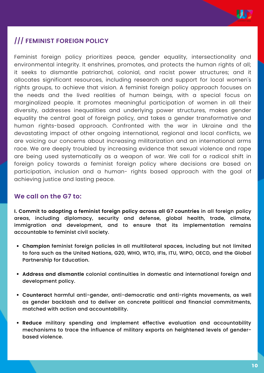

#### **/// FEMINIST FOREIGN POLICY**

Feminist foreign policy prioritizes peace, gender equality, intersectionality and environmental integrity. It enshrines, promotes, and protects the human rights of all; it seeks to dismantle patriarchal, colonial, and racist power structures; and it allocates significant resources, including research and support for local women's rights groups, to achieve that vision. A feminist foreign policy approach focuses on the needs and the lived realities of human beings, with a special focus on marginalized people. It promotes meaningful participation of women in all their diversity, addresses inequalities and underlying power structures, makes gender equality the central goal of foreign policy, and takes a gender transformative and human rights-based approach. Confronted with the war in Ukraine and the devastating impact of other ongoing international, regional and local conflicts, we are voicing our concerns about increasing militarization and an international arms race. We are deeply troubled by increasing evidence that sexual violence and rape are being used systematically as a weapon of war. We call for a radical shift in foreign policy towards a feminist foreign policy where decisions are based on participation, inclusion and a human- rights based approach with the goal of achieving justice and lasting peace.

#### **We call on the G7 to:**

**I. Commit to adopting a feminist foreign policy across all G7 countries** in all foreign policy areas, including diplomacy, security and defense, global health, trade, climate, immigration and development, and to ensure that its implementation remains accountable to feminist civil society.

- **Champion** feminist foreign policies in all multilateral spaces, including but not limited to fora such as the United Nations, G20, WHO, WTO, IFIs, ITU, WIPO, OECD, and the Global Partnership for Education.
- **Address and dismantle** colonial continuities in domestic and international foreign and development policy.
- **Counteract** harmful anti-gender, anti-democratic and anti-rights movements, as well as gender backlash and to deliver on concrete political and financial commitments, matched with action and accountability.
- **Reduce** military spending and implement effective evaluation and accountability mechanisms to trace the influence of military exports on heightened levels of genderbased violence.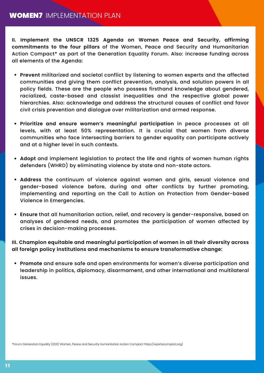#### **WOMEN7 IMPLEMENTATION PLAN**

**II. Implement the UNSCR 1325 Agenda on Women Peace and Security, affirming commitments to the four pillars** of the Women, Peace and Security and Humanitarian Action Compact\* as part of the Generation Equality Forum. Also: increase funding across all elements of the Agenda:

- **Prevent** militarized and societal conflict by listening to women experts and the affected communities and giving them conflict prevention, analysis, and solution powers in all policy fields. These are the people who possess firsthand knowledge about gendered, racialized, caste-based and classist inequalities and the respective global power hierarchies. Also: acknowledge and address the structural causes of conflict and favor civil crisis prevention and dialogue over militarization and armed response.
- **Prioritize and ensure women's meaningful participation** in peace processes at all levels, with at least 50% representation. It is crucial that women from diverse communities who face intersecting barriers to gender equality can participate actively and at a higher level in such contexts.
- **Adopt** and implement legislation to protect the life and rights of women human rights defenders (WHRD) by eliminating violence by state and non-state actors.
- **Address** the continuum of violence against women and girls, sexual violence and gender-based violence before, during and after conflicts by further promoting, implementing and reporting on the Call to Action on Protection from Gender-based Violence in Emergencies.
- **Ensure** that all humanitarian action, relief, and recovery is gender-responsive, based on analyses of gendered needs, and promotes the participation of women affected by crises in decision-making processes.

**III. Champion equitable and meaningful participation of women in all their diversity across all foreign policy institutions and mechanisms to ensure transformative change:**

**Promote** and ensure safe and open environments for women's diverse participation and leadership in politics, diplomacy, disarmament, and other international and multilateral issues.

\*Forum Generation Equality (2021) Women, Peace and Security Humanitarian Action Compact https://wpshacompact.org/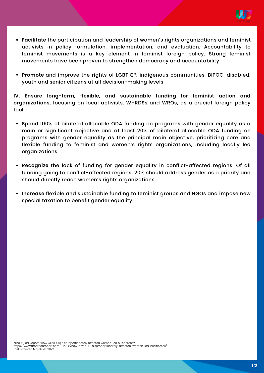

- **Facilitate** the participation and leadership of women's rights organizations and feminist activists in policy formulation, implementation, and evaluation. Accountability to feminist movements is a key element in feminist foreign policy. Strong feminist movements have been proven to strengthen democracy and accountability.
- **Promote** and improve the rights of LGBTIQ\*, indigenous communities, BIPOC, disabled, youth and senior citizens at all decision-making levels.

**IV. Ensure long-term, flexible, and sustainable funding for feminist action and organizations,** focusing on local activists, WHRDSs and WROs, as a crucial foreign policy tool:

- **Spend** 100% of bilateral allocable ODA funding on programs with gender equality as a main or significant objective and at least 20% of bilateral allocable ODA funding on programs with gender equality as the principal main objective, prioritizing core and flexible funding to feminist and women's rights organizations, including locally led organizations.
- **Recognize** the lack of funding for gender equality in conflict-affected regions. Of all funding going to conflict-affected regions, 20% should address gender as a priority and should directly reach women's rights organizations.
- **Increase** flexible and sustainable funding to feminist groups and NGOs and impose new special taxation to benefit gender equality.

\*The Africa Report: "How COVID-19 disproportionately affected women-led businesses": https://www.theafricareport.com/102008/how-covid-19-disproportionately-affected-women-led-businesses/ Last retrieved March 28, 2022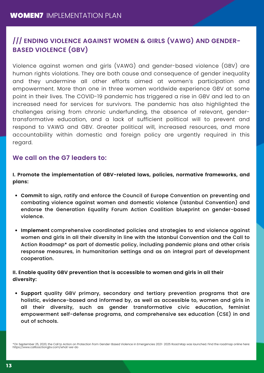#### **/// ENDING VIOLENCE AGAINST WOMEN & GIRLS (VAWG) AND GENDER-BASED VIOLENCE (GBV)**

Violence against women and girls (VAWG) and gender-based violence (GBV) are human rights violations. They are both cause and consequence of gender inequality and they undermine all other efforts aimed at women's participation and empowerment. More than one in three women worldwide experience GBV at some point in their lives. The COVID-19 pandemic has triggered a rise in GBV and led to an increased need for services for survivors. The pandemic has also highlighted the challenges arising from chronic underfunding, the absence of relevant, gendertransformative education, and a lack of sufficient political will to prevent and respond to VAWG and GBV. Greater political will, increased resources, and more accountability within domestic and foreign policy are urgently required in this regard.

#### **We call on the G7 leaders to:**

**I. Promote the implementation of GBV-related laws, policies, normative frameworks, and plans:**

- **Commit** to sign, ratify and enforce the Council of Europe Convention on preventing and combating violence against women and domestic violence (Istanbul Convention) and endorse the Generation Equality Forum Action Coalition blueprint on gender-based violence.
- **Implement** comprehensive coordinated policies and strategies to end violence against women and girls in all their diversity in line with the Istanbul Convention and the Call to Action Roadmap\* as part of domestic policy, including pandemic plans and other crisis response measures, in humanitarian settings and as an integral part of development cooperation.

**II. Enable quality GBV prevention that is accessible to women and girls in all their diversity:**

**Support** quality GBV primary, secondary and tertiary prevention programs that are holistic, evidence-based and informed by, as well as accessible to, women and girls in all their diversity, such as gender transformative civic education, feminist empowerment self-defense programs, and comprehensive sex education (CSE) in and out of schools.

<sup>\*</sup>On September 25, 2020, the Call to Action on Protection from Gender-Based Violence in Emergencies 2021- 2025 Road Map was launched. Find the roadmap online here: https://www.calltoactiongbv.com/what-we-do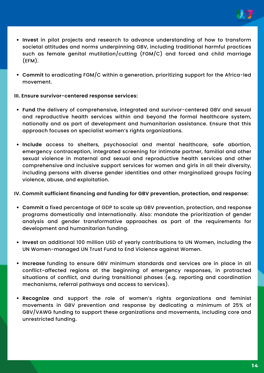

- **Invest** in pilot projects and research to advance understanding of how to transform societal attitudes and norms underpinning GBV, including traditional harmful practices such as female genital mutilation/cutting (FGM/C) and forced and child marriage (EFM).
- **Commit** to eradicating FGM/C within a generation, prioritizing support for the Africa-led movement.

#### **III. Ensure survivor-centered response services:**

- **Fund** the delivery of comprehensive, integrated and survivor-centered GBV and sexual and reproductive health services within and beyond the formal healthcare system, nationally and as part of development and humanitarian assistance. Ensure that this approach focuses on specialist women's rights organizations.
- **Include** access to shelters, psychosocial and mental healthcare, safe abortion, emergency contraception, integrated screening for intimate partner, familial and other sexual violence in maternal and sexual and reproductive health services and other comprehensive and inclusive support services for women and girls in all their diversity, including persons with diverse gender identities and other marginalized groups facing violence, abuse, and exploitation.

#### **IV. Commit sufficient financing and funding for GBV prevention, protection, and response:**

- **Commit** a fixed percentage of GDP to scale up GBV prevention, protection, and response programs domestically and internationally. Also: mandate the prioritization of gender analysis and gender transformative approaches as part of the requirements for development and humanitarian funding.
- **Invest** an additional 100 million USD of yearly contributions to UN Women, including the UN Women-managed UN Trust Fund to End Violence against Women.
- **Increase** funding to ensure GBV minimum standards and services are in place in all conflict-affected regions at the beginning of emergency responses, in protracted situations of conflict, and during transitional phases (e.g. reporting and coordination mechanisms, referral pathways and access to services).
- **Recognize** and support the role of women's rights organizations and feminist movements in GBV prevention and response by dedicating a minimum of 25% of GBV/VAWG funding to support these organizations and movements, including core and unrestricted funding.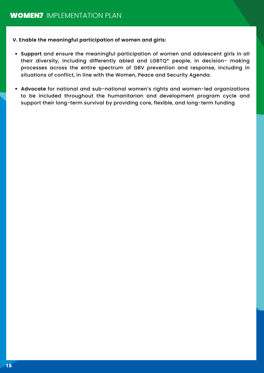**V. Enable the meaningful participation of women and girls:**

- **Support** and ensure the meaningful participation of women and adolescent girls in all their diversity, including differently abled and LGBTQ\* people, in decision- making processes across the entire spectrum of GBV prevention and response, including in situations of conflict, in line with the Women, Peace and Security Agenda.
- **Advocate** for national and sub-national women's rights and women-led organizations to be included throughout the humanitarian and development program cycle and support their long-term survival by providing core, flexible, and long-term funding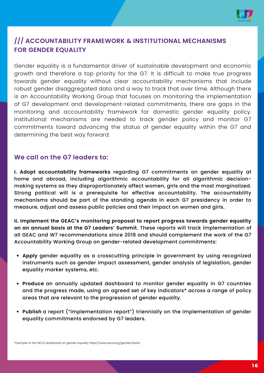

#### **/// ACCOUNTABILITY FRAMEWORK & INSTITUTIONAL MECHANISMS FOR GENDER EQUALITY**

Gender equality is a fundamental driver of sustainable development and economic growth and therefore a top priority for the G7. It is difficult to make true progress towards gender equality without clear accountability mechanisms that include robust gender disaggregated data and a way to track that over time. Although there is an Accountability Working Group that focuses on monitoring the implementation of G7 development and development-related commitments, there are gaps in the monitoring and accountability framework for domestic gender equality policy. Institutional mechanisms are needed to track gender policy and monitor G7 commitments toward advancing the status of gender equality within the G7 and determining the best way forward.

#### **We call on the G7 leaders to:**

**I. Adopt accountability frameworks** regarding G7 commitments on gender equality at home and abroad, including algorithmic accountability for all algorithmic decisionmaking systems as they disproportionately affect women, girls and the most marginalized. Strong political will is a prerequisite for effective accountability. The accountability mechanisms should be part of the standing agenda in each G7 presidency in order to measure, adjust and assess public policies and their impact on women and girls.

**II. Implement the GEAC's monitoring proposal to report progress towards gender equality on an annual basis at the G7 Leaders' Summit**. These reports will track implementation of all GEAC and W7 recommendations since 2018 and should complement the work of the G7 Accountability Working Group on gender-related development commitments:

- **Apply** gender equality as a crosscutting principle in government by using recognized instruments such as gender impact assessment, gender analysis of legislation, gender equality marker systems, etc.
- **Produce** an annually updated dashboard to monitor gender equality in G7 countries and the progress made, using an agreed set of key indicators\* across a range of policy areas that are relevant to the progression of gender equality.
- **Publish** a report ("implementation report") triennially on the implementation of gender equality commitments endorsed by G7 leaders.

\*Example of the OECD dashboard on gender equality https://www.oecd.org/gender/data/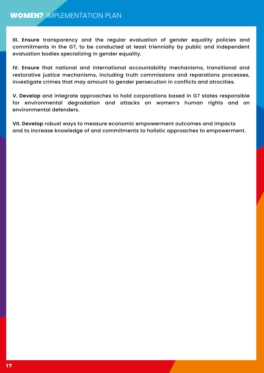**III. Ensure** transparency and the regular evaluation of gender equality policies and commitments in the G7, to be conducted at least triennially by public and independent evaluation bodies specializing in gender equality.

**IV. Ensure** that national and international accountability mechanisms, transitional and restorative justice mechanisms, including truth commissions and reparations processes, investigate crimes that may amount to gender persecution in conflicts and atrocities.

**V. Develop** and integrate approaches to hold corporations based in G7 states responsible for environmental degradation and attacks on women's human rights and on environmental defenders.

**VII. Develop** robust ways to measure economic empowerment outcomes and impacts and to increase knowledge of and commitments to holistic approaches to empowerment.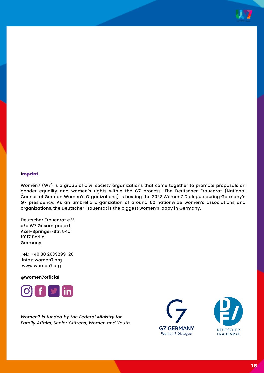

#### **I**mprint

Women7 (W7) is a group of civil society organizations that come together to promote proposals on gender equality and women's rights within the G7 process. The Deutscher Frauenrat (National Council of German Women's Organizations) is hosting the 2022 Women7 Dialogue during Germany's G7 presidency. As an umbrella organization of around 60 nationwide women's associations and organizations, the Deutscher Frauenrat is the biggest women's lobby in Germany.

Deutscher Frauenrat e.V. c/o W7 Gesamtprojekt Axel-Springer-Str. 54a 10117 Berlin Germany

Tel.: +49 30 2639299-20 info@women7.org www.women7.org

**@women7official**



*Women7 is funded by the Federal Ministry for Family Affairs, Senior Citizens, Women and Youth.*